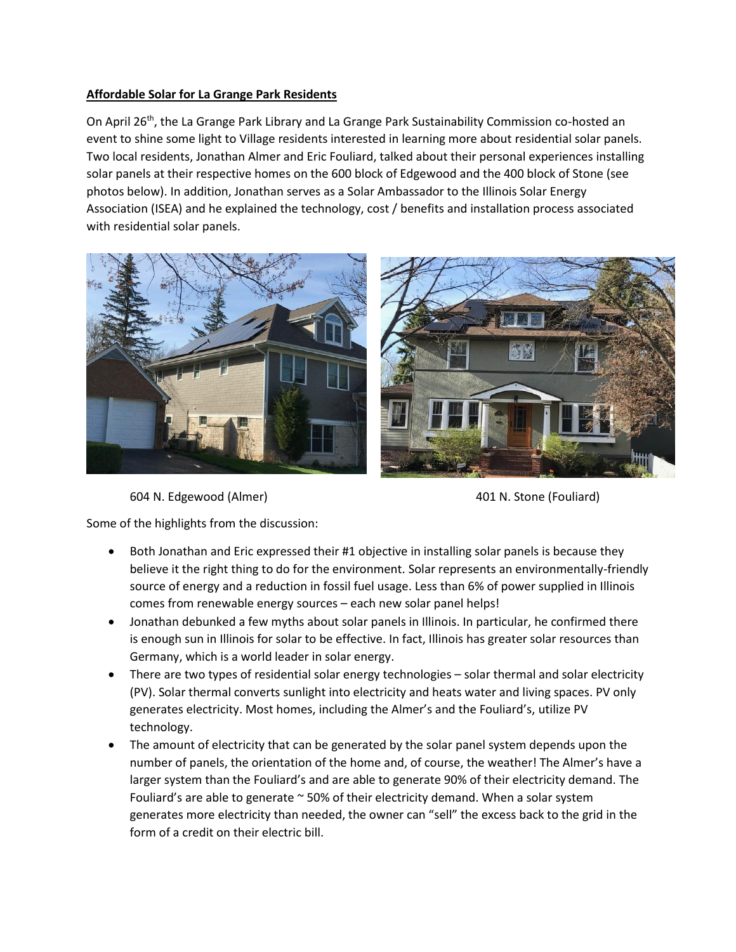## **Affordable Solar for La Grange Park Residents**

On April 26<sup>th</sup>, the La Grange Park Library and La Grange Park Sustainability Commission co-hosted an event to shine some light to Village residents interested in learning more about residential solar panels. Two local residents, Jonathan Almer and Eric Fouliard, talked about their personal experiences installing solar panels at their respective homes on the 600 block of Edgewood and the 400 block of Stone (see photos below). In addition, Jonathan serves as a Solar Ambassador to the Illinois Solar Energy Association (ISEA) and he explained the technology, cost / benefits and installation process associated with residential solar panels.



604 N. Edgewood (Almer) 401 N. Stone (Fouliard)

Some of the highlights from the discussion:

- Both Jonathan and Eric expressed their #1 objective in installing solar panels is because they believe it the right thing to do for the environment. Solar represents an environmentally-friendly source of energy and a reduction in fossil fuel usage. Less than 6% of power supplied in Illinois comes from renewable energy sources – each new solar panel helps!
- Jonathan debunked a few myths about solar panels in Illinois. In particular, he confirmed there is enough sun in Illinois for solar to be effective. In fact, Illinois has greater solar resources than Germany, which is a world leader in solar energy.
- There are two types of residential solar energy technologies solar thermal and solar electricity (PV). Solar thermal converts sunlight into electricity and heats water and living spaces. PV only generates electricity. Most homes, including the Almer's and the Fouliard's, utilize PV technology.
- The amount of electricity that can be generated by the solar panel system depends upon the number of panels, the orientation of the home and, of course, the weather! The Almer's have a larger system than the Fouliard's and are able to generate 90% of their electricity demand. The Fouliard's are able to generate  $\sim$  50% of their electricity demand. When a solar system generates more electricity than needed, the owner can "sell" the excess back to the grid in the form of a credit on their electric bill.